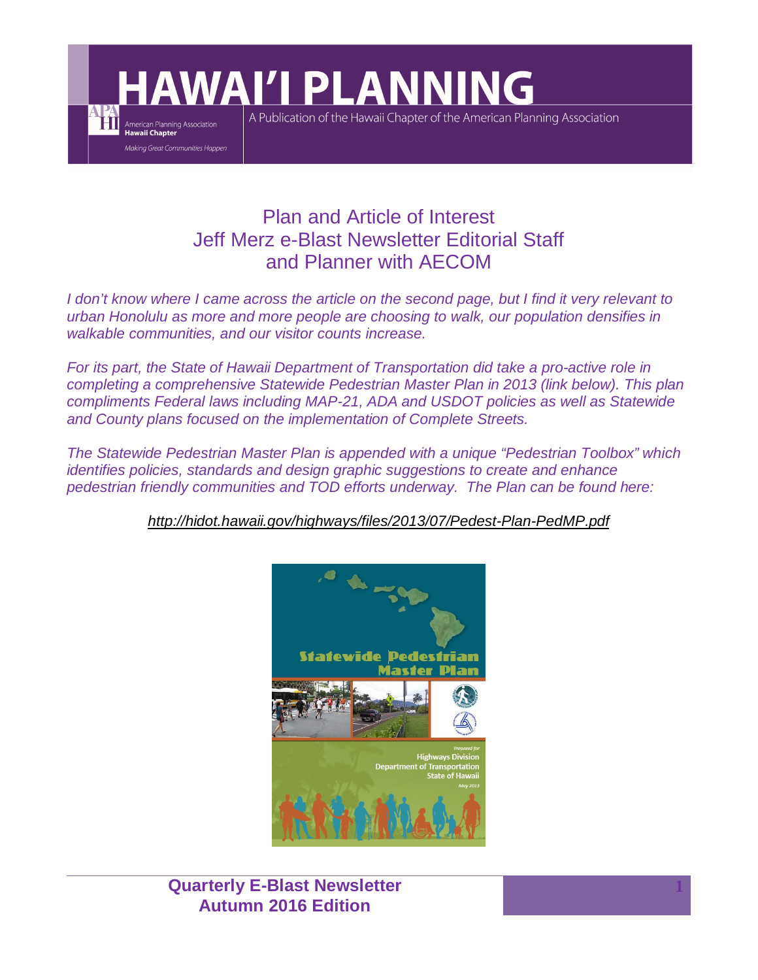**HAWAI'I PLANNING** 

American Planning Association<br>Hawaii Chapter Making Great Communities Happen A Publication of the Hawaii Chapter of the American Planning Association

# Plan and Article of Interest Jeff Merz e-Blast Newsletter Editorial Staff and Planner with AECOM

*I don't know where I came across the article on the second page, but I find it very relevant to urban Honolulu as more and more people are choosing to walk, our population densifies in walkable communities, and our visitor counts increase.*

*For its part, the State of Hawaii Department of Transportation did take a pro-active role in completing a comprehensive Statewide Pedestrian Master Plan in 2013 (link below). This plan compliments Federal laws including MAP-21, ADA and USDOT policies as well as Statewide and County plans focused on the implementation of Complete Streets.*

*The Statewide Pedestrian Master Plan is appended with a unique "Pedestrian Toolbox" which identifies policies, standards and design graphic suggestions to create and enhance pedestrian friendly communities and TOD efforts underway. The Plan can be found here:*

*http://hidot.hawaii.gov/highways/files/2013/07/Pedest-Plan-PedMP.pdf*



**Quarterly E-Blast Newsletter Autumn 2016 Edition**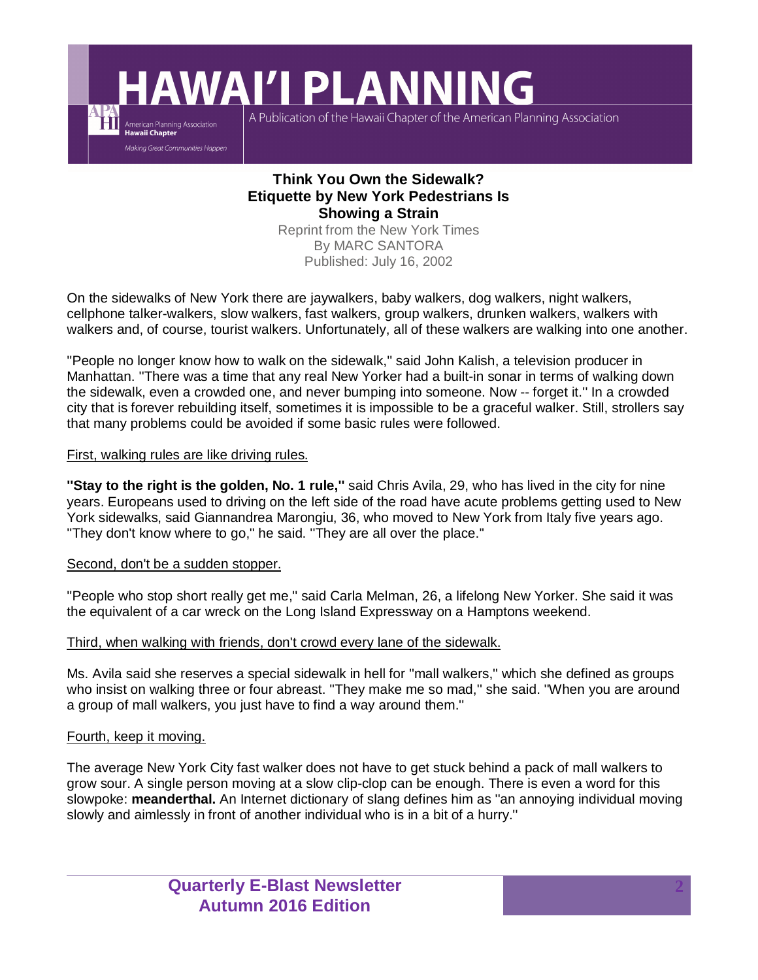**HAWAI'I PLANNING** 

A Publication of the Hawaii Chapter of the American Planning Association

# **Think You Own the Sidewalk? Etiquette by New York Pedestrians Is Showing a Strain**

Reprint from the New York Times By MARC SANTORA Published: July 16, 2002

On the sidewalks of New York there are jaywalkers, baby walkers, dog walkers, night walkers, cellphone talker-walkers, slow walkers, fast walkers, group walkers, drunken walkers, walkers with walkers and, of course, tourist walkers. Unfortunately, all of these walkers are walking into one another.

''People no longer know how to walk on the sidewalk,'' said John Kalish, a television producer in Manhattan. ''There was a time that any real New Yorker had a built-in sonar in terms of walking down the sidewalk, even a crowded one, and never bumping into someone. Now -- forget it.'' In a crowded city that is forever rebuilding itself, sometimes it is impossible to be a graceful walker. Still, strollers say that many problems could be avoided if some basic rules were followed.

## First, walking rules are like driving rules.

American Planning Association<br>Hawaii Chapter Making Great Communities Happen

**''Stay to the right is the golden, No. 1 rule,''** said Chris Avila, 29, who has lived in the city for nine years. Europeans used to driving on the left side of the road have acute problems getting used to New York sidewalks, said Giannandrea Marongiu, 36, who moved to New York from Italy five years ago. ''They don't know where to go,'' he said. ''They are all over the place.''

### Second, don't be a sudden stopper.

"People who stop short really get me," said Carla Melman, 26, a lifelong New Yorker. She said it was the equivalent of a car wreck on the Long Island Expressway on a Hamptons weekend.

### Third, when walking with friends, don't crowd every lane of the sidewalk.

Ms. Avila said she reserves a special sidewalk in hell for ''mall walkers,'' which she defined as groups who insist on walking three or four abreast. ''They make me so mad,'' she said. ''When you are around a group of mall walkers, you just have to find a way around them.''

### Fourth, keep it moving.

The average New York City fast walker does not have to get stuck behind a pack of mall walkers to grow sour. A single person moving at a slow clip-clop can be enough. There is even a word for this slowpoke: **meanderthal.** An Internet dictionary of slang defines him as ''an annoying individual moving slowly and aimlessly in front of another individual who is in a bit of a hurry.''

> **Quarterly E-Blast Newsletter Autumn 2016 Edition**